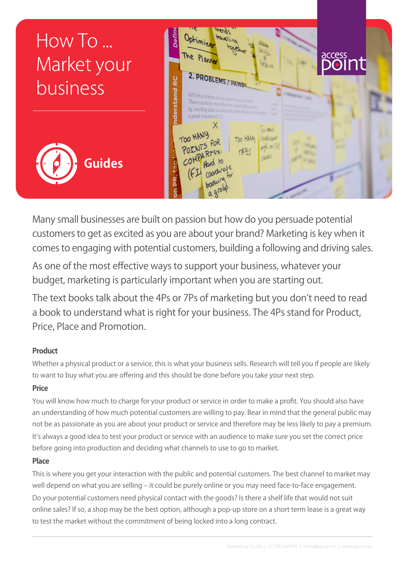

Many small businesses are built on passion but how do you persuade potential customers to get as excited as you are about your brand? Marketing is key when it comes to engaging with potential customers, building a following and driving sales.

As one of the most effective ways to support your business, whatever your budget, marketing is particularly important when you are starting out.

The text books talk about the 4Ps or 7Ps of marketing but you don't need to read a book to understand what is right for your business. The 4Ps stand for Product, Price, Place and Promotion.

## **Product**

Whether a physical product or a service, this is what your business sells. Research will tell you if people are likely to want to buy what you are offering and this should be done before you take your next step.

## **Price**

You will know how much to charge for your product or service in order to make a profit. You should also have an understanding of how much potential customers are willing to pay. Bear in mind that the general public may not be as passionate as you are about your product or service and therefore may be less likely to pay a premium. It's always a good idea to test your product or service with an audience to make sure you set the correct price before going into production and deciding what channels to use to go to market.

## **Place**

This is where you get your interaction with the public and potential customers. The best channel to market may well depend on what you are selling – it could be purely online or you may need face-to-face engagement. Do your potential customers need physical contact with the goods? Is there a shelf life that would not suit online sales? If so, a shop may be the best option, although a pop-up store on a short term lease is a great way to test the market without the commitment of being locked into a long contract.